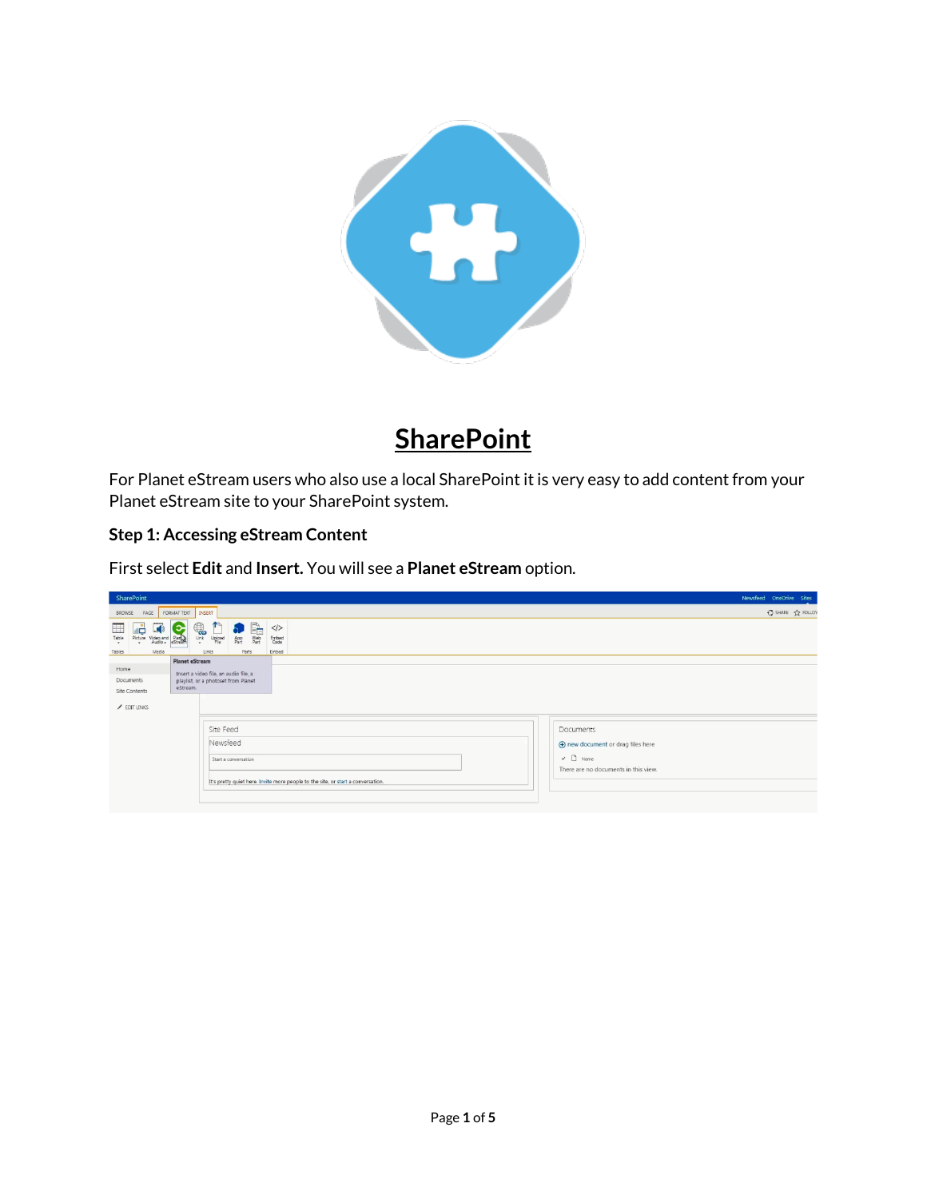

# **SharePoint**

For Planet eStream users who also use a local SharePoint it is very easy to add content from your Planet eStream site to your SharePoint system.

## **Step 1: Accessing eStream Content**

First select **Edit** and **Insert.** You will see a **Planet eStream** option.

| SharePoint                                                                                                                                                                                  |                                                                                  | Newsfeed OneDrive Sites                                                                                 |
|---------------------------------------------------------------------------------------------------------------------------------------------------------------------------------------------|----------------------------------------------------------------------------------|---------------------------------------------------------------------------------------------------------|
| FORMAT TEXT<br>INSERT<br>PAGE<br>BROWSE                                                                                                                                                     |                                                                                  | C SHARE TO FOLLOW                                                                                       |
| $\mathbb{R}$<br>aå.<br>$\overline{\mathbb{C}}$<br>$\Box$<br>▦<br>Upload<br>Picture Video and Pian<br>Link<br>App<br>Table<br>Web<br>Part<br>٠.<br>$\overline{ }$                            | $\langle$<br>Embed<br>Code                                                       |                                                                                                         |
| Media<br>Parts<br>Tables<br>Links                                                                                                                                                           | Embed                                                                            |                                                                                                         |
| <b>Planet eStream</b><br>Home<br>Insert a video file, an audio file, a<br>Documents<br>playlist, or a photoset from Planet<br>eStream.<br>Site Contents<br>$\angle$ EDIT LINKS<br>Site Feed |                                                                                  | Documents                                                                                               |
| Newsfeed<br>Start a conversation                                                                                                                                                            | It's pretty quiet here. Invite more people to the site, or start a conversation. | (+) new document or drag files here<br>$\checkmark$ $\Box$ Name<br>There are no documents in this view. |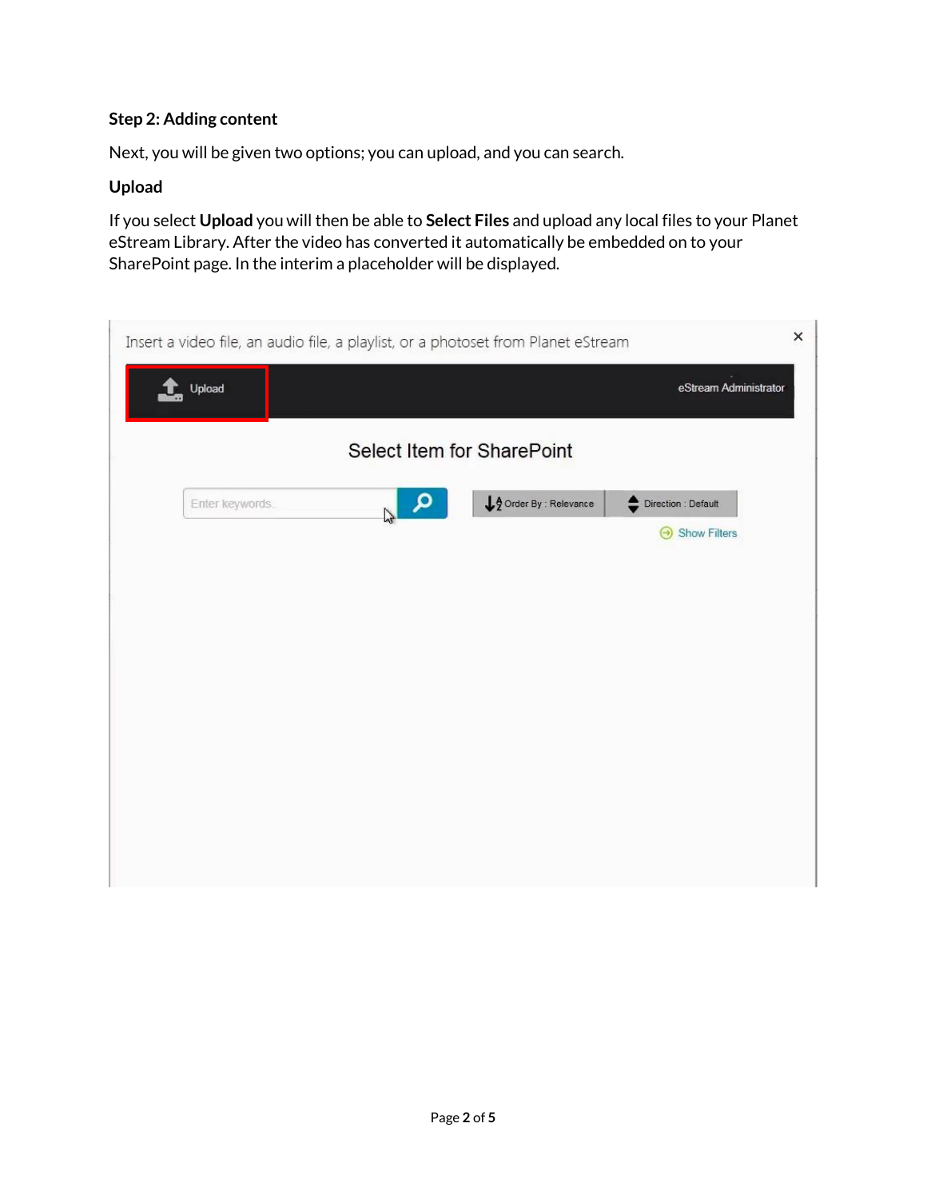## **Step 2: Adding content**

Next, you will be given two options; you can upload, and you can search.

#### **Upload**

If you select **Upload** you will then be able to **Select Files** and upload any local files to your Planet eStream Library. After the video has converted it automatically be embedded on to your SharePoint page. In the interim a placeholder will be displayed.

|                            | ×<br>Insert a video file, an audio file, a playlist, or a photoset from Planet eStream |                        |                                     |  |  |  |
|----------------------------|----------------------------------------------------------------------------------------|------------------------|-------------------------------------|--|--|--|
| <sup>1</sup> Upload        |                                                                                        |                        | eStream Administrator               |  |  |  |
| Select Item for SharePoint |                                                                                        |                        |                                     |  |  |  |
| Enter keywords.            | م                                                                                      | A Order By : Relevance | Direction : Default<br>Show Filters |  |  |  |
|                            |                                                                                        |                        |                                     |  |  |  |
|                            |                                                                                        |                        |                                     |  |  |  |
|                            |                                                                                        |                        |                                     |  |  |  |
|                            |                                                                                        |                        |                                     |  |  |  |
|                            |                                                                                        |                        |                                     |  |  |  |
|                            |                                                                                        |                        |                                     |  |  |  |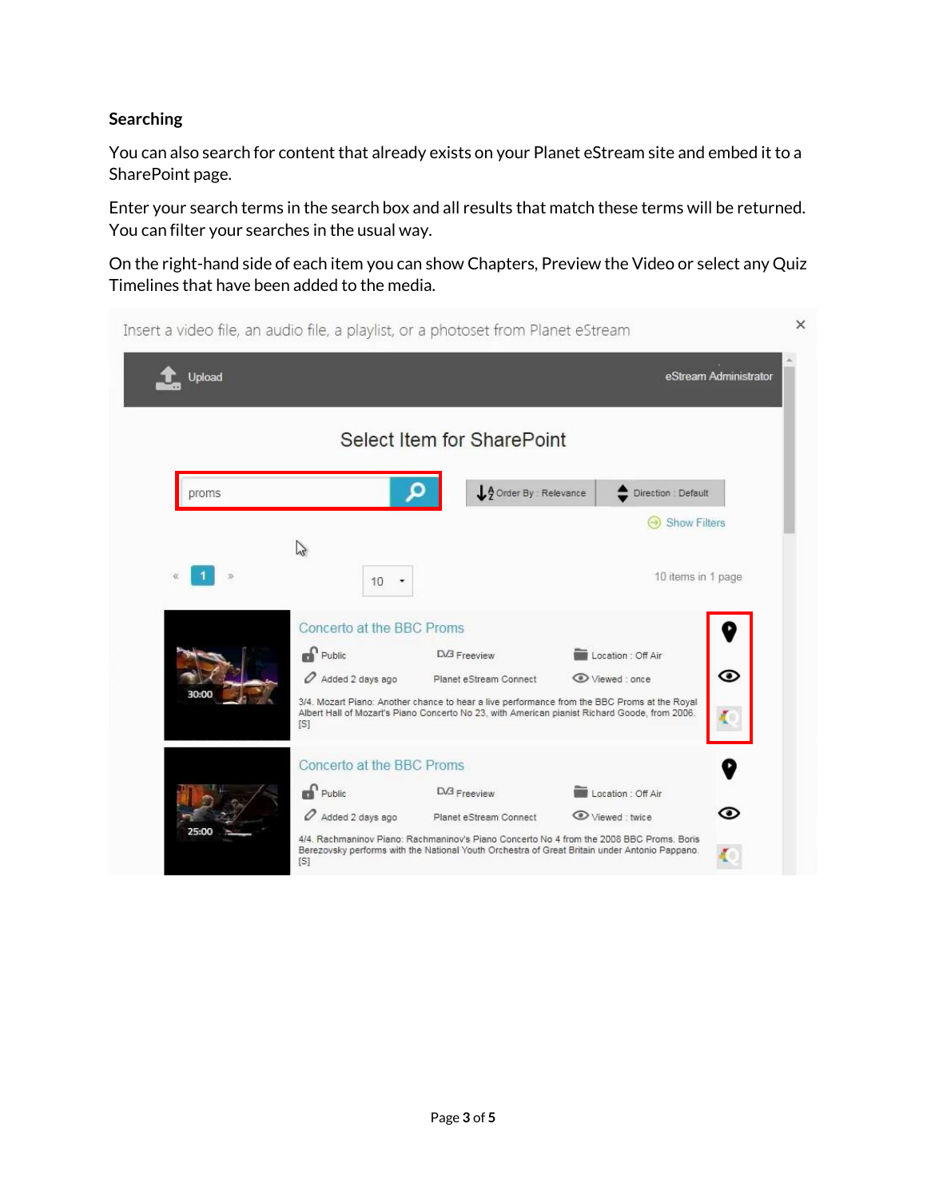### **Searching**

You can also search for content that already exists on your Planet eStream site and embed it to a SharePoint page.

Enter your search terms in the search box and all results that match these terms will be returned. You can filter your searches in the usual way.

On the right-hand side of each item you can show Chapters, Preview the Video or select any Quiz Timelines that have been added to the media.

| Insert a video file, an audio file, a playlist, or a photoset from Planet eStream |                                                                       |                                        |                                                                                                                                                                                                                                     | ×                     |
|-----------------------------------------------------------------------------------|-----------------------------------------------------------------------|----------------------------------------|-------------------------------------------------------------------------------------------------------------------------------------------------------------------------------------------------------------------------------------|-----------------------|
| Upload                                                                            |                                                                       |                                        |                                                                                                                                                                                                                                     | eStream Administrator |
|                                                                                   |                                                                       | Select Item for SharePoint             |                                                                                                                                                                                                                                     |                       |
| proms                                                                             |                                                                       | LA Order By : Relevance                | Direction : Default<br><b>Show Filters</b>                                                                                                                                                                                          |                       |
|                                                                                   | $\sqrt{2}$<br>10                                                      |                                        | 10 items in 1 page                                                                                                                                                                                                                  |                       |
| 30:00                                                                             | Concerto at the BBC Proms<br><b>Public</b><br>Added 2 days ago<br>[S] | D/3 Freeview<br>Planet eStream Connect | Location : Off Air<br>Viewed: once<br>3/4. Mozart Piano: Another chance to hear a live performance from the BBC Proms at the Royal<br>Albert Hall of Mozart's Piano Concerto No 23, with American pianist Richard Goode, from 2006. | ◉                     |
| 25:00                                                                             | Concerto at the BBC Proms<br><b>Re</b> Public<br>Added 2 days ago     | D/3 Freeview<br>Planet eStream Connect | Location : Off Air<br>Viewed: twice<br>4/4. Rachmaninov Piano: Rachmaninov's Piano Concerto No 4 from the 2008 BBC Proms. Boris<br>Berezovsky performs with the National Youth Orchestra of Great Britain under Antonio Pappano.    | ⊙                     |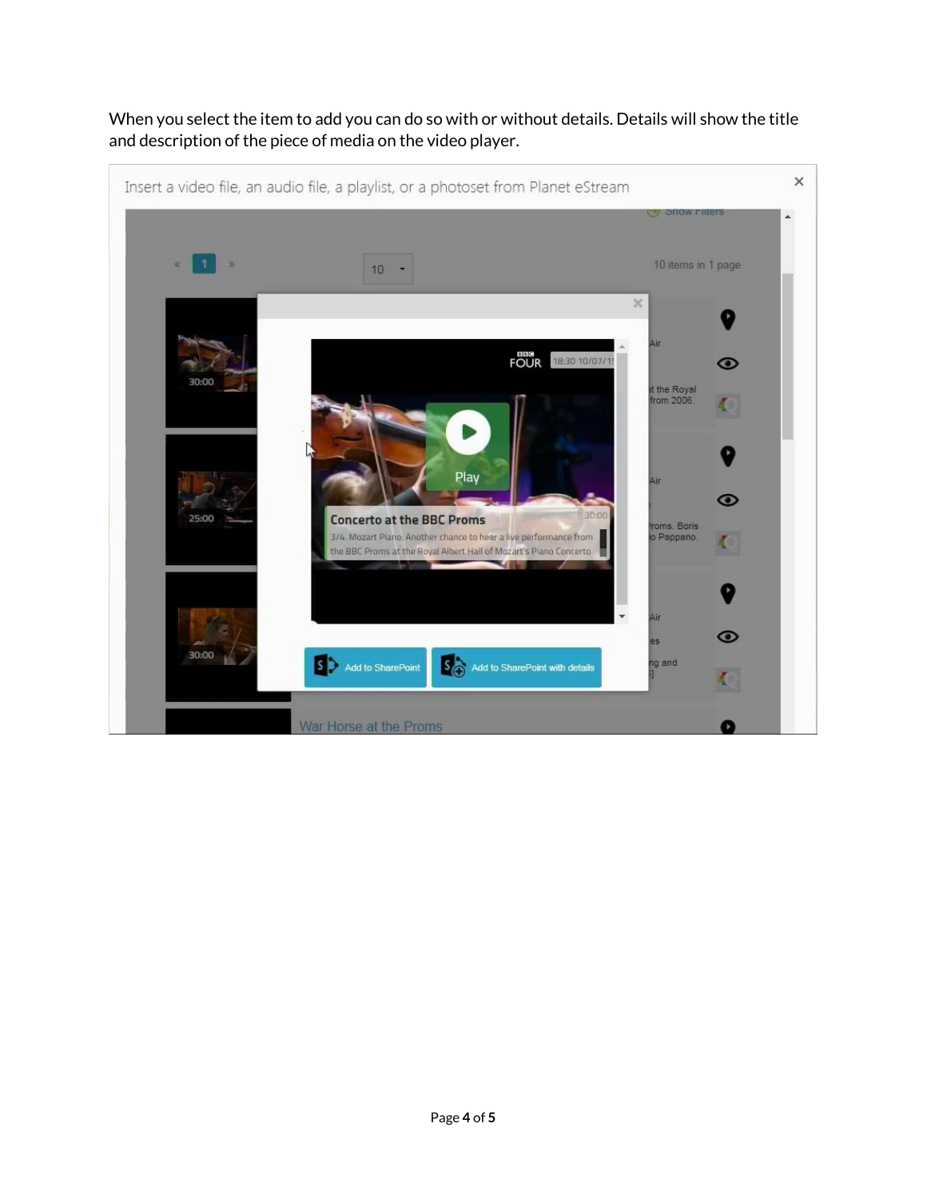

When you select the item to add you can do so with or without details. Details will show the title and description of the piece of media on the video player.